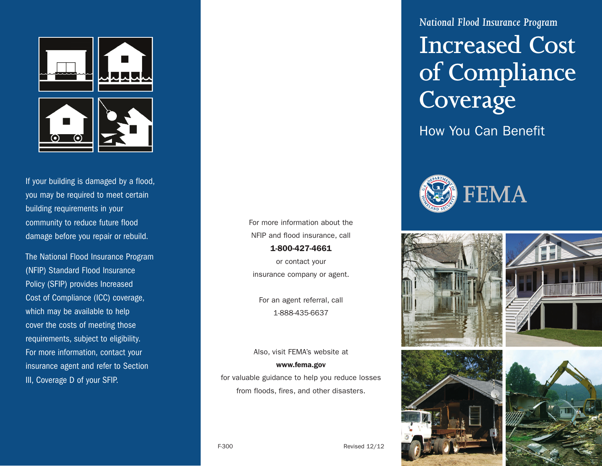

If your building is damaged by a flood, you may be required to meet certain building requirements in your community to reduce future flood damage before you repair or rebuild.

The National Flood Insurance Program (NFIP) Standard Flood Insurance Policy (SFIP) provides Increased Cost of Compliance (ICC) coverage, which may be available to help cover the costs of meeting those requirements, subject to eligibility. For more information, contact your insurance agent and refer to Section III, Coverage D of your SFIP.

For more information about the NFIP and flood insurance, call 1-800-427-4661

or contact your insurance company or agent.

For an agent referral, call 1-888-435-6637

Also, visit FEMA's website at www.fema.gov for valuable guidance to help you reduce losses

from floods, fires, and other disasters.

*National Flood Insurance Program* 

# **Increased Cost of Compliance Coverage**

How You Can Benefit









F-300 Revised 12/12